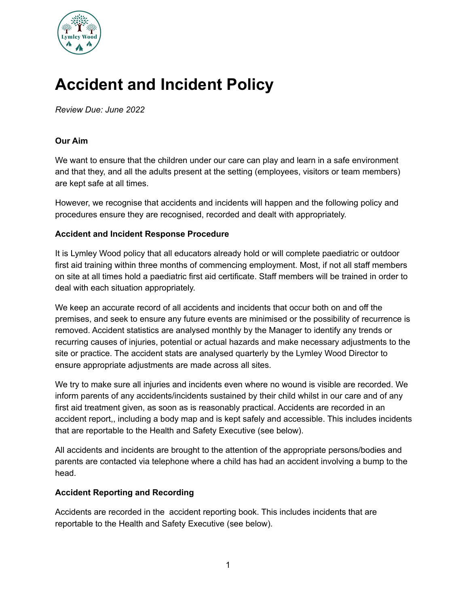

# **Accident and Incident Policy**

*Review Due: June 2022*

# **Our Aim**

We want to ensure that the children under our care can play and learn in a safe environment and that they, and all the adults present at the setting (employees, visitors or team members) are kept safe at all times.

However, we recognise that accidents and incidents will happen and the following policy and procedures ensure they are recognised, recorded and dealt with appropriately.

#### **Accident and Incident Response Procedure**

It is Lymley Wood policy that all educators already hold or will complete paediatric or outdoor first aid training within three months of commencing employment. Most, if not all staff members on site at all times hold a paediatric first aid certificate. Staff members will be trained in order to deal with each situation appropriately.

We keep an accurate record of all accidents and incidents that occur both on and off the premises, and seek to ensure any future events are minimised or the possibility of recurrence is removed. Accident statistics are analysed monthly by the Manager to identify any trends or recurring causes of injuries, potential or actual hazards and make necessary adjustments to the site or practice. The accident stats are analysed quarterly by the Lymley Wood Director to ensure appropriate adjustments are made across all sites.

We try to make sure all injuries and incidents even where no wound is visible are recorded. We inform parents of any accidents/incidents sustained by their child whilst in our care and of any first aid treatment given, as soon as is reasonably practical. Accidents are recorded in an accident report,, including a body map and is kept safely and accessible. This includes incidents that are reportable to the Health and Safety Executive (see below).

All accidents and incidents are brought to the attention of the appropriate persons/bodies and parents are contacted via telephone where a child has had an accident involving a bump to the head.

#### **Accident Reporting and Recording**

Accidents are recorded in the accident reporting book. This includes incidents that are reportable to the Health and Safety Executive (see below).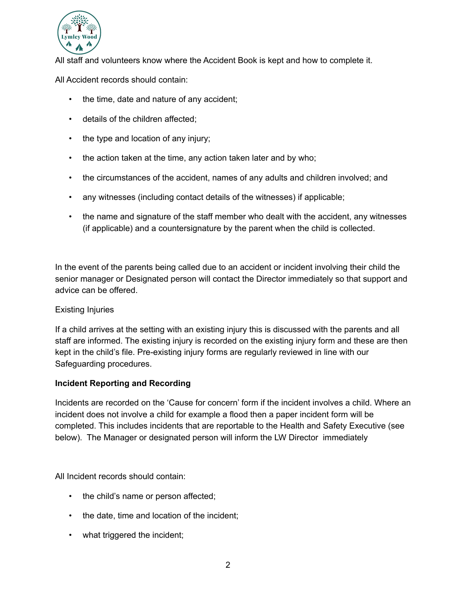

All staff and volunteers know where the Accident Book is kept and how to complete it.

All Accident records should contain:

- the time, date and nature of any accident;
- details of the children affected;
- the type and location of any injury;
- the action taken at the time, any action taken later and by who;
- the circumstances of the accident, names of any adults and children involved; and
- any witnesses (including contact details of the witnesses) if applicable;
- the name and signature of the staff member who dealt with the accident, any witnesses (if applicable) and a countersignature by the parent when the child is collected.

In the event of the parents being called due to an accident or incident involving their child the senior manager or Designated person will contact the Director immediately so that support and advice can be offered.

## Existing Injuries

If a child arrives at the setting with an existing injury this is discussed with the parents and all staff are informed. The existing injury is recorded on the existing injury form and these are then kept in the child's file. Pre-existing injury forms are regularly reviewed in line with our Safeguarding procedures.

## **Incident Reporting and Recording**

Incidents are recorded on the 'Cause for concern' form if the incident involves a child. Where an incident does not involve a child for example a flood then a paper incident form will be completed. This includes incidents that are reportable to the Health and Safety Executive (see below). The Manager or designated person will inform the LW Director immediately

All Incident records should contain:

- the child's name or person affected;
- the date, time and location of the incident;
- what triggered the incident;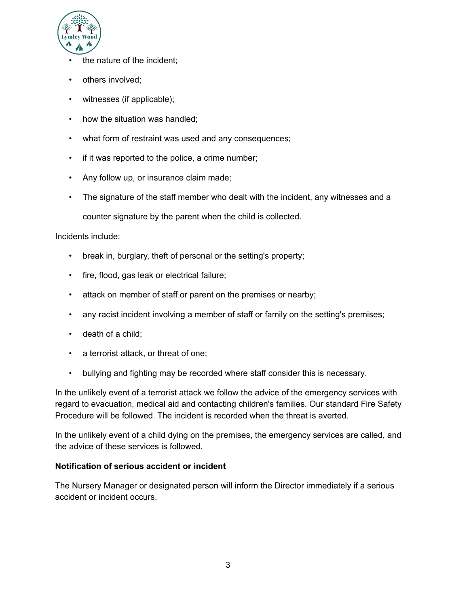

- the nature of the incident:
- others involved;
- witnesses (if applicable);
- how the situation was handled;
- what form of restraint was used and any consequences;
- if it was reported to the police, a crime number;
- Any follow up, or insurance claim made;
- The signature of the staff member who dealt with the incident, any witnesses and a

counter signature by the parent when the child is collected.

Incidents include:

- break in, burglary, theft of personal or the setting's property;
- fire, flood, gas leak or electrical failure;
- attack on member of staff or parent on the premises or nearby;
- any racist incident involving a member of staff or family on the setting's premises;
- death of a child;
- a terrorist attack, or threat of one;
- bullying and fighting may be recorded where staff consider this is necessary.

In the unlikely event of a terrorist attack we follow the advice of the emergency services with regard to evacuation, medical aid and contacting children's families. Our standard Fire Safety Procedure will be followed. The incident is recorded when the threat is averted.

In the unlikely event of a child dying on the premises, the emergency services are called, and the advice of these services is followed.

## **Notification of serious accident or incident**

The Nursery Manager or designated person will inform the Director immediately if a serious accident or incident occurs.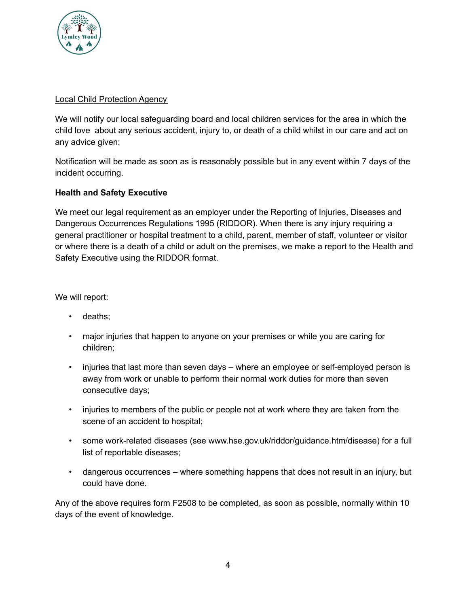

## Local Child Protection Agency

We will notify our local safeguarding board and local children services for the area in which the child love about any serious accident, injury to, or death of a child whilst in our care and act on any advice given:

Notification will be made as soon as is reasonably possible but in any event within 7 days of the incident occurring.

# **Health and Safety Executive**

We meet our legal requirement as an employer under the Reporting of Injuries, Diseases and Dangerous Occurrences Regulations 1995 (RIDDOR). When there is any injury requiring a general practitioner or hospital treatment to a child, parent, member of staff, volunteer or visitor or where there is a death of a child or adult on the premises, we make a report to the Health and Safety Executive using the RIDDOR format.

We will report:

- deaths;
- major injuries that happen to anyone on your premises or while you are caring for children;
- injuries that last more than seven days where an employee or self-employed person is away from work or unable to perform their normal work duties for more than seven consecutive days;
- injuries to members of the public or people not at work where they are taken from the scene of an accident to hospital;
- some work-related diseases (see www.hse.gov.uk/riddor/guidance.htm/disease) for a full list of reportable diseases;
- dangerous occurrences where something happens that does not result in an injury, but could have done.

Any of the above requires form F2508 to be completed, as soon as possible, normally within 10 days of the event of knowledge.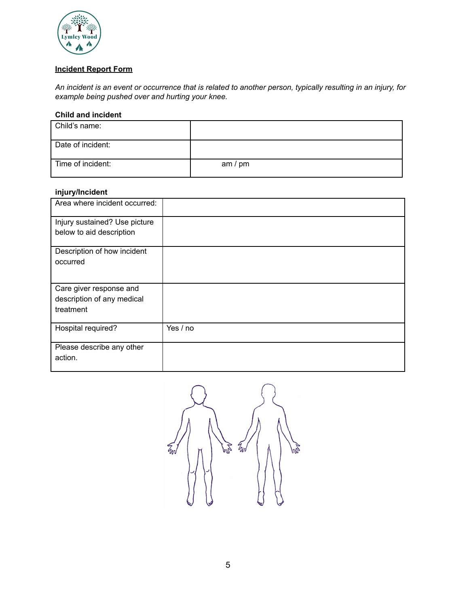

## **Incident Report Form**

An incident is an event or occurrence that is related to another person, typically resulting in an injury, for *example being pushed over and hurting your knee.*

#### **Child and incident**

| Child's name:     |           |
|-------------------|-----------|
| Date of incident: |           |
| Time of incident: | am $/$ pm |

#### **injury/Incident**

| jw. <i>j.</i> v.wv                                                 |          |
|--------------------------------------------------------------------|----------|
| Area where incident occurred:                                      |          |
| Injury sustained? Use picture<br>below to aid description          |          |
| Description of how incident<br>occurred                            |          |
| Care giver response and<br>description of any medical<br>treatment |          |
| Hospital required?                                                 | Yes / no |
| Please describe any other<br>action.                               |          |

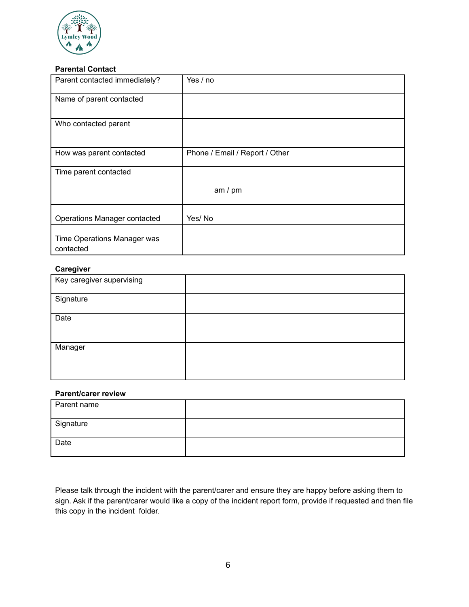

#### **Parental Contact**

| Parent contacted immediately?            | Yes / no                       |
|------------------------------------------|--------------------------------|
| Name of parent contacted                 |                                |
| Who contacted parent                     |                                |
| How was parent contacted                 | Phone / Email / Report / Other |
| Time parent contacted                    |                                |
|                                          | am / pm                        |
| Operations Manager contacted             | Yes/No                         |
| Time Operations Manager was<br>contacted |                                |

#### **Caregiver**

| Key caregiver supervising |  |
|---------------------------|--|
| Signature                 |  |
| Date                      |  |
| Manager                   |  |

#### **Parent/carer review**

| Parent name |  |
|-------------|--|
| Signature   |  |
| Date        |  |

Please talk through the incident with the parent/carer and ensure they are happy before asking them to sign. Ask if the parent/carer would like a copy of the incident report form, provide if requested and then file this copy in the incident folder.